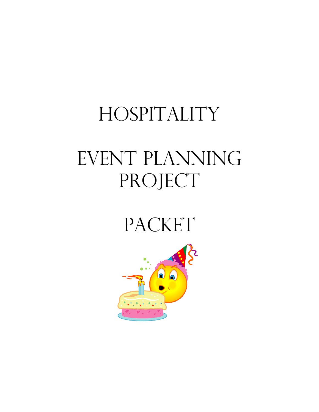# HOSPITALITY

# EVENT PLANNING PROJECT

# PACKET

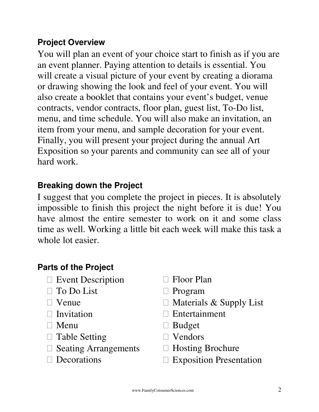## **Project Overview**

You will plan an event of your choice start to finish as if you are an event planner. Paying attention to details is essential. You will create a visual picture of your event by creating a diorama or drawing showing the look and feel of your event. You will also create a booklet that contains your event's budget, venue contracts, vendor contracts, floor plan, guest list, To-Do list, menu, and time schedule. You will also make an invitation, an item from your menu, and sample decoration for your event. Finally, you will present your project during the annual Art Exposition so your parents and community can see all of your hard work.

## **Breaking down the Project**

I suggest that you complete the project in pieces. It is absolutely impossible to finish this project the night before it is due! You have almost the entire semester to work on it and some class time as well. Working a little bit each week will make this task a whole lot easier.

## **Parts of the Project**

| <b>Event Description</b>    | <b>Floor Plan</b>              |
|-----------------------------|--------------------------------|
| To Do List                  | Program                        |
| Venue                       | Materials & Supply List        |
| Invitation                  | Entertainment                  |
| Menu                        | <b>Budget</b>                  |
| <b>Table Setting</b>        | Vendors                        |
| <b>Seating Arrangements</b> | <b>Hosting Brochure</b>        |
| Decorations                 | <b>Exposition Presentation</b> |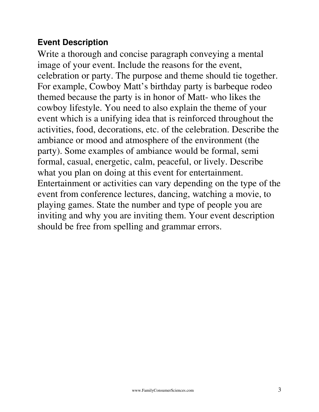## **Event Description**

Write a thorough and concise paragraph conveying a mental image of your event. Include the reasons for the event, celebration or party. The purpose and theme should tie together. For example, Cowboy Matt's birthday party is barbeque rodeo themed because the party is in honor of Matt- who likes the cowboy lifestyle. You need to also explain the theme of your event which is a unifying idea that is reinforced throughout the activities, food, decorations, etc. of the celebration. Describe the ambiance or mood and atmosphere of the environment (the party). Some examples of ambiance would be formal, semi formal, casual, energetic, calm, peaceful, or lively. Describe what you plan on doing at this event for entertainment. Entertainment or activities can vary depending on the type of the event from conference lectures, dancing, watching a movie, to playing games. State the number and type of people you are inviting and why you are inviting them. Your event description should be free from spelling and grammar errors.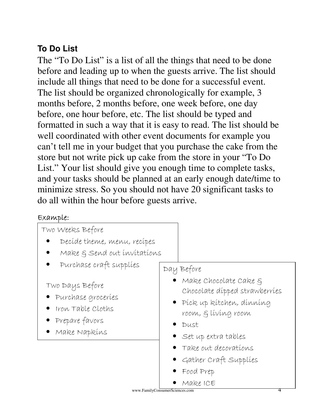## **To Do List**

The "To Do List" is a list of all the things that need to be done before and leading up to when the guests arrive. The list should include all things that need to be done for a successful event. The list should be organized chronologically for example, 3 months before, 2 months before, one week before, one day before, one hour before, etc. The list should be typed and formatted in such a way that it is easy to read. The list should be well coordinated with other event documents for example you can't tell me in your budget that you purchase the cake from the store but not write pick up cake from the store in your "To Do List." Your list should give you enough time to complete tasks, and your tasks should be planned at an early enough date/time to minimize stress. So you should not have 20 significant tasks to do all within the hour before guests arrive.

### $Exannle$

| Two Weeks Before                                                                                   |                                                                                                                                              |
|----------------------------------------------------------------------------------------------------|----------------------------------------------------------------------------------------------------------------------------------------------|
| Decíde theme, menu, recípes                                                                        |                                                                                                                                              |
| Make & Send out invitations                                                                        |                                                                                                                                              |
| Purchase craft supplies                                                                            | Day Before                                                                                                                                   |
| Two Days Before<br>• Purchase groceries<br>Iron Table Cloths<br>• Prepare favors<br>· Make Napkins | Make Chocolate Cake §<br>Chocolate dipped strawberries<br>· Píck up kítchen, dínníng<br>room, & living room<br>Dust<br>• Set up extra tables |
|                                                                                                    | Take out decorations<br>• Gather Craft Supplies                                                                                              |
|                                                                                                    | Food Prep                                                                                                                                    |
|                                                                                                    | Make ICE<br>www.FamilyConsumerSciences.com<br>4                                                                                              |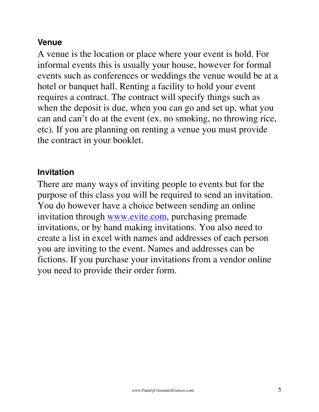## **Venue**

A venue is the location or place where your event is hold. For informal events this is usually your house, however for formal events such as conferences or weddings the venue would be at a hotel or banquet hall. Renting a facility to hold your event requires a contract. The contract will specify things such as when the deposit is due, when you can go and set up, what you can and can't do at the event (ex. no smoking, no throwing rice, etc). If you are planning on renting a venue you must provide the contract in your booklet.

## **Invitation**

There are many ways of inviting people to events but for the purpose of this class you will be required to send an invitation. You do however have a choice between sending an online invitation through www.evite.com, purchasing premade invitations, or by hand making invitations. You also need to create a list in excel with names and addresses of each person you are inviting to the event. Names and addresses can be fictions. If you purchase your invitations from a vendor online you need to provide their order form.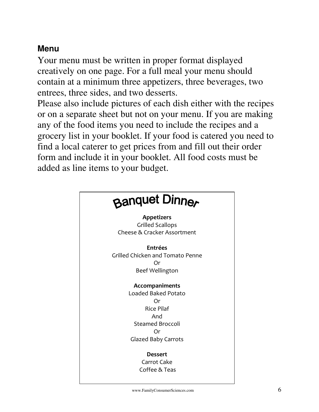## **Menu**

Your menu must be written in proper format displayed creatively on one page. For a full meal your menu should contain at a minimum three appetizers, three beverages, two entrees, three sides, and two desserts.

Please also include pictures of each dish either with the recipes or on a separate sheet but not on your menu. If you are making any of the food items you need to include the recipes and a grocery list in your booklet. If your food is catered you need to find a local caterer to get prices from and fill out their order form and include it in your booklet. All food costs must be added as line items to your budget.

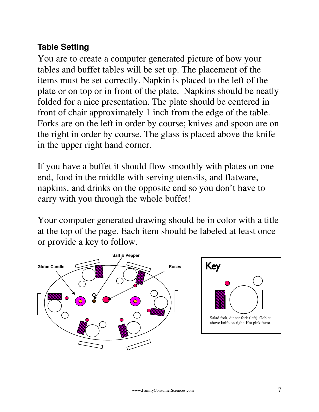## **Table Setting**

You are to create a computer generated picture of how your tables and buffet tables will be set up. The placement of the items must be set correctly. Napkin is placed to the left of the plate or on top or in front of the plate. Napkins should be neatly folded for a nice presentation. The plate should be centered in front of chair approximately 1 inch from the edge of the table. Forks are on the left in order by course; knives and spoon are on the right in order by course. The glass is placed above the knife in the upper right hand corner.

If you have a buffet it should flow smoothly with plates on one end, food in the middle with serving utensils, and flatware, napkins, and drinks on the opposite end so you don't have to carry with you through the whole buffet!

Your computer generated drawing should be in color with a title at the top of the page. Each item should be labeled at least once or provide a key to follow.

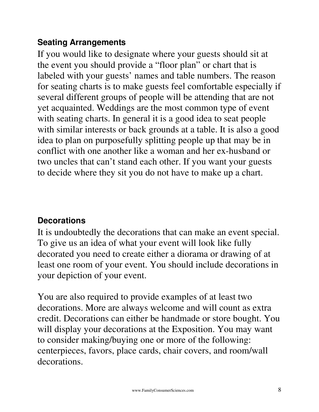## **Seating Arrangements**

If you would like to designate where your guests should sit at the event you should provide a "floor plan" or chart that is labeled with your guests' names and table numbers. The reason for seating charts is to make guests feel comfortable especially if several different groups of people will be attending that are not yet acquainted. Weddings are the most common type of event with seating charts. In general it is a good idea to seat people with similar interests or back grounds at a table. It is also a good idea to plan on purposefully splitting people up that may be in conflict with one another like a woman and her ex-husband or two uncles that can't stand each other. If you want your guests to decide where they sit you do not have to make up a chart.

## **Decorations**

It is undoubtedly the decorations that can make an event special. To give us an idea of what your event will look like fully decorated you need to create either a diorama or drawing of at least one room of your event. You should include decorations in your depiction of your event.

You are also required to provide examples of at least two decorations. More are always welcome and will count as extra credit. Decorations can either be handmade or store bought. You will display your decorations at the Exposition. You may want to consider making/buying one or more of the following: centerpieces, favors, place cards, chair covers, and room/wall decorations.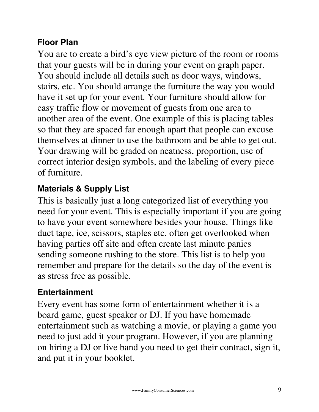## **Floor Plan**

You are to create a bird's eye view picture of the room or rooms that your guests will be in during your event on graph paper. You should include all details such as door ways, windows, stairs, etc. You should arrange the furniture the way you would have it set up for your event. Your furniture should allow for easy traffic flow or movement of guests from one area to another area of the event. One example of this is placing tables so that they are spaced far enough apart that people can excuse themselves at dinner to use the bathroom and be able to get out. Your drawing will be graded on neatness, proportion, use of correct interior design symbols, and the labeling of every piece of furniture.

## **Materials & Supply List**

This is basically just a long categorized list of everything you need for your event. This is especially important if you are going to have your event somewhere besides your house. Things like duct tape, ice, scissors, staples etc. often get overlooked when having parties off site and often create last minute panics sending someone rushing to the store. This list is to help you remember and prepare for the details so the day of the event is as stress free as possible.

## **Entertainment**

Every event has some form of entertainment whether it is a board game, guest speaker or DJ. If you have homemade entertainment such as watching a movie, or playing a game you need to just add it your program. However, if you are planning on hiring a DJ or live band you need to get their contract, sign it, and put it in your booklet.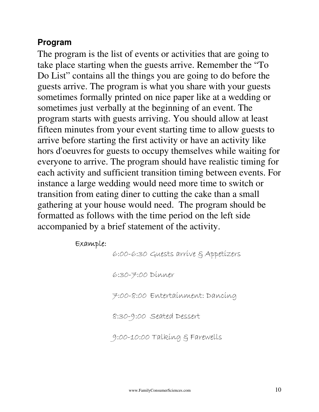## **Program**

The program is the list of events or activities that are going to take place starting when the guests arrive. Remember the "To Do List" contains all the things you are going to do before the guests arrive. The program is what you share with your guests sometimes formally printed on nice paper like at a wedding or sometimes just verbally at the beginning of an event. The program starts with guests arriving. You should allow at least fifteen minutes from your event starting time to allow guests to arrive before starting the first activity or have an activity like hors d'oeuvres for guests to occupy themselves while waiting for everyone to arrive. The program should have realistic timing for each activity and sufficient transition timing between events. For instance a large wedding would need more time to switch or transition from eating diner to cutting the cake than a small gathering at your house would need. The program should be formatted as follows with the time period on the left side accompanied by a brief statement of the activity.

### Example: Example:

6:00-6:30 Guests arrive & Appetizers

6:30-7:00 Dinner

7:00-8:00 Entertainment: Dancing

8:30-9:00 Seated Dessert

9:00-10:00 Talking & Farewells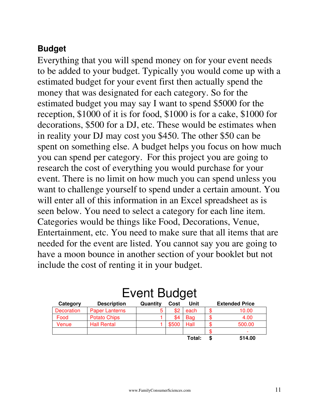## **Budget**

Everything that you will spend money on for your event needs to be added to your budget. Typically you would come up with a estimated budget for your event first then actually spend the money that was designated for each category. So for the estimated budget you may say I want to spend \$5000 for the reception, \$1000 of it is for food, \$1000 is for a cake, \$1000 for decorations, \$500 for a DJ, etc. These would be estimates when in reality your DJ may cost you \$450. The other \$50 can be spent on something else. A budget helps you focus on how much you can spend per category. For this project you are going to research the cost of everything you would purchase for your event. There is no limit on how much you can spend unless you want to challenge yourself to spend under a certain amount. You will enter all of this information in an Excel spreadsheet as is seen below. You need to select a category for each line item. Categories would be things like Food, Decorations, Venue, Entertainment, etc. You need to make sure that all items that are needed for the event are listed. You cannot say you are going to have a moon bounce in another section of your booklet but not include the cost of renting it in your budget.

| Category   | <b>Description</b>    | Quantity | Cost  | Unit       |  | <b>Extended Price</b> |  |  |
|------------|-----------------------|----------|-------|------------|--|-----------------------|--|--|
| Decoration | <b>Paper Lanterns</b> | 5        | \$2   | each       |  | 10.00                 |  |  |
| Food       | <b>Potato Chips</b>   |          | \$4   | <b>Bag</b> |  | 4.00                  |  |  |
| Venue      | <b>Hall Rental</b>    |          | \$500 | Hall       |  | 500.00                |  |  |
|            |                       |          |       |            |  |                       |  |  |
|            |                       |          |       | Total:     |  | 514.00                |  |  |

## Event Budget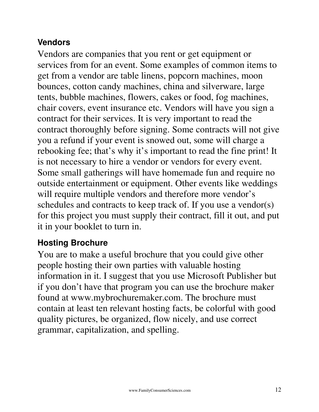## **Vendors**

Vendors are companies that you rent or get equipment or services from for an event. Some examples of common items to get from a vendor are table linens, popcorn machines, moon bounces, cotton candy machines, china and silverware, large tents, bubble machines, flowers, cakes or food, fog machines, chair covers, event insurance etc. Vendors will have you sign a contract for their services. It is very important to read the contract thoroughly before signing. Some contracts will not give you a refund if your event is snowed out, some will charge a rebooking fee; that's why it's important to read the fine print! It is not necessary to hire a vendor or vendors for every event. Some small gatherings will have homemade fun and require no outside entertainment or equipment. Other events like weddings will require multiple vendors and therefore more vendor's schedules and contracts to keep track of. If you use a vendor(s) for this project you must supply their contract, fill it out, and put it in your booklet to turn in.

## **Hosting Brochure**

You are to make a useful brochure that you could give other people hosting their own parties with valuable hosting information in it. I suggest that you use Microsoft Publisher but if you don't have that program you can use the brochure maker found at www.mybrochuremaker.com. The brochure must contain at least ten relevant hosting facts, be colorful with good quality pictures, be organized, flow nicely, and use correct grammar, capitalization, and spelling.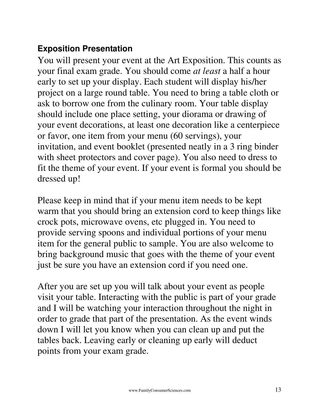## **Exposition Presentation**

You will present your event at the Art Exposition. This counts as your final exam grade. You should come *at least* a half a hour early to set up your display. Each student will display his/her project on a large round table. You need to bring a table cloth or ask to borrow one from the culinary room. Your table display should include one place setting, your diorama or drawing of your event decorations, at least one decoration like a centerpiece or favor, one item from your menu (60 servings), your invitation, and event booklet (presented neatly in a 3 ring binder with sheet protectors and cover page). You also need to dress to fit the theme of your event. If your event is formal you should be dressed up!

Please keep in mind that if your menu item needs to be kept warm that you should bring an extension cord to keep things like crock pots, microwave ovens, etc plugged in. You need to provide serving spoons and individual portions of your menu item for the general public to sample. You are also welcome to bring background music that goes with the theme of your event just be sure you have an extension cord if you need one.

After you are set up you will talk about your event as people visit your table. Interacting with the public is part of your grade and I will be watching your interaction throughout the night in order to grade that part of the presentation. As the event winds down I will let you know when you can clean up and put the tables back. Leaving early or cleaning up early will deduct points from your exam grade.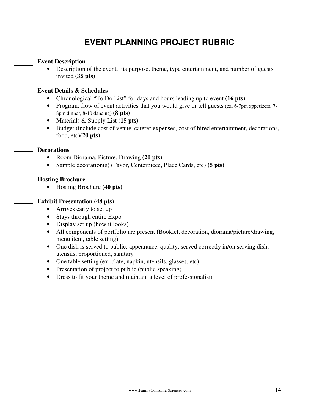## **EVENT PLANNING PROJECT RUBRIC**

### **Event Description**

• Description of the event, its purpose, theme, type entertainment, and number of guests invited **(35 pts)**

### **Event Details & Schedules**

- Chronological "To Do List" for days and hours leading up to event **(16 pts)**
- Program: flow of event activities that you would give or tell guests (ex. 6-7pm appetizers, 7-8pm dinner, 8-10 dancing) (**8 pts)**
- Materials & Supply List **(15 pts)**
- Budget (include cost of venue, caterer expenses, cost of hired entertainment, decorations, food, etc)**(20 pts)**

### **Decorations**

- Room Diorama, Picture, Drawing **(20 pts)**
- Sample decoration(s) (Favor, Centerpiece, Place Cards, etc) **(5 pts)**

### **Hosting Brochure**

• Hosting Brochure **(40 pts)**

### **Exhibit Presentation (48 pts)**

- Arrives early to set up
- Stays through entire Expo
- Display set up (how it looks)
- All components of portfolio are present **(**Booklet, decoration, diorama/picture/drawing, menu item, table setting)
- One dish is served to public: appearance, quality, served correctly in/on serving dish, utensils, proportioned, sanitary
- One table setting (ex. plate, napkin, utensils, glasses, etc)
- Presentation of project to public (public speaking)
- Dress to fit your theme and maintain a level of professionalism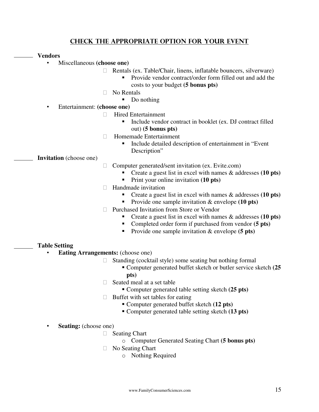### Check the appropriate option for your event

### **Vendors**

- Miscellaneous **(choose one)**
	- Rentals (ex. Table/Chair, linens, inflatable bouncers, silverware)
		- Provide vendor contract/order form filled out and add the costs to your budget **(5 bonus pts)**
	- No Rentals
		- Do nothing

### • Entertainment: **(choose one)**

- Hired Entertainment
	- Include vendor contract in booklet (ex. DJ contract filled out) **(5 bonus pts)**
- Homemade Entertainment
	- **Include detailed description of entertainment in "Event"** Description"

**Invitation** (choose one)

- Computer generated/sent invitation (ex. Evite.com)
	- Create a guest list in excel with names & addresses **(10 pts)**
	- **Print your online invitation (10 pts)**
- Handmade invitation
	- Create a guest list in excel with names & addresses **(10 pts)**
	- Provide one sample invitation & envelope (10 pts)
- Purchased Invitation from Store or Vendor
	- Create a guest list in excel with names & addresses **(10 pts)**
	- Completed order form if purchased from vendor **(5 pts)**
	- Provide one sample invitation & envelope (**5 pts**)

### **Table Setting**

- **Eating Arrangements:** (choose one)
	- Standing (cocktail style) some seating but nothing formal
		- Computer generated buffet sketch or butler service sketch **(25**
		- **pts)**

Seated meal at a set table

- Computer generated table setting sketch **(25 pts)**
- Buffet with set tables for eating
	- Computer generated buffet sketch **(12 pts)**
	- Computer generated table setting sketch **(13 pts)**
- **Seating:** (choose one)
	- Seating Chart
		- o Computer Generated Seating Chart **(5 bonus pts)**
	- No Seating Chart
		- o Nothing Required